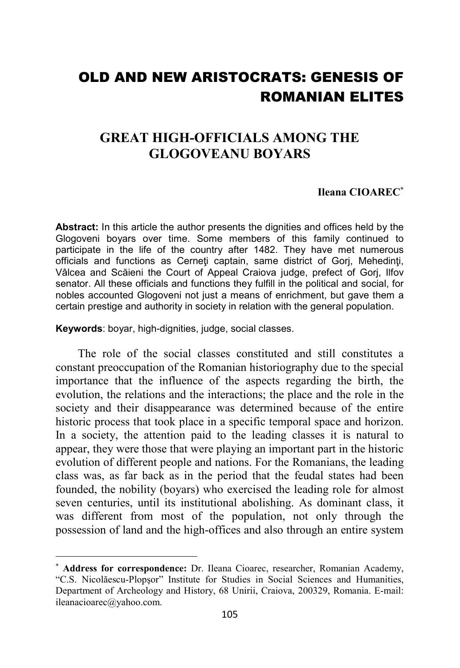## OLD AND NEW ARISTOCRATS: GENESIS OF ROMANIAN ELITES

## **GREAT HIGH-OFFICIALS AMONG THE GLOGOVEANU BOYARS**

## **Ileana CIOAREC**<sup>∗</sup>

**Abstract:** In this article the author presents the dignities and offices held by the Glogoveni boyars over time. Some members of this family continued to participate in the life of the country after 1482. They have met numerous officials and functions as Cerneti captain, same district of Gorj, Mehedinti, Vâlcea and Scăieni the Court of Appeal Craiova judge, prefect of Gorj, Ilfov senator. All these officials and functions they fulfill in the political and social, for nobles accounted Glogoveni not just a means of enrichment, but gave them a certain prestige and authority in society in relation with the general population.

**Keywords**: boyar, high-dignities, judge, social classes.

 $\overline{a}$ 

The role of the social classes constituted and still constitutes a constant preoccupation of the Romanian historiography due to the special importance that the influence of the aspects regarding the birth, the evolution, the relations and the interactions; the place and the role in the society and their disappearance was determined because of the entire historic process that took place in a specific temporal space and horizon. In a society, the attention paid to the leading classes it is natural to appear, they were those that were playing an important part in the historic evolution of different people and nations. For the Romanians, the leading class was, as far back as in the period that the feudal states had been founded, the nobility (boyars) who exercised the leading role for almost seven centuries, until its institutional abolishing. As dominant class, it was different from most of the population, not only through the possession of land and the high-offices and also through an entire system

<sup>∗</sup> **Address for correspondence:** Dr. Ileana Cioarec, researcher, Romanian Academy, "C.S. Nicolăescu-Plopşor" Institute for Studies in Social Sciences and Humanities, Department of Archeology and History, 68 Unirii, Craiova, 200329, Romania. E-mail: ileanacioarec@yahoo.com.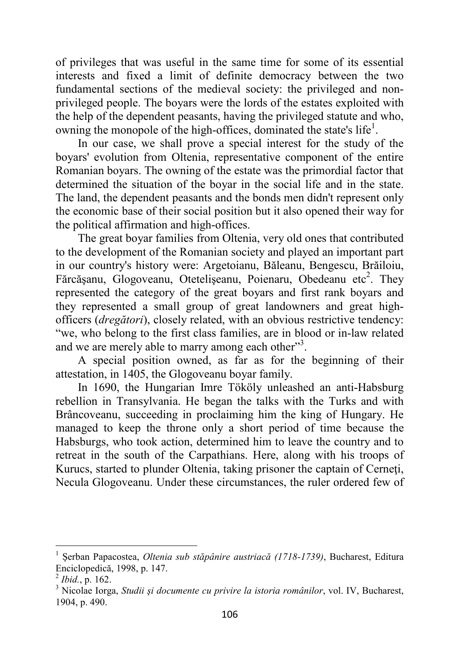of privileges that was useful in the same time for some of its essential interests and fixed a limit of definite democracy between the two fundamental sections of the medieval society: the privileged and nonprivileged people. The boyars were the lords of the estates exploited with the help of the dependent peasants, having the privileged statute and who, owning the monopole of the high-offices, dominated the state's life<sup>1</sup>.

In our case, we shall prove a special interest for the study of the boyars' evolution from Oltenia, representative component of the entire Romanian boyars. The owning of the estate was the primordial factor that determined the situation of the boyar in the social life and in the state. The land, the dependent peasants and the bonds men didn't represent only the economic base of their social position but it also opened their way for the political affirmation and high-offices.

The great boyar families from Oltenia, very old ones that contributed to the development of the Romanian society and played an important part in our country's history were: Argetoianu, Băleanu, Bengescu, Brăiloiu, Fărcășanu, Glogoveanu, Otetelișeanu, Poienaru, Obedeanu etc<sup>2</sup>. They represented the category of the great boyars and first rank boyars and they represented a small group of great landowners and great highofficers (*dregători*), closely related, with an obvious restrictive tendency: "we, who belong to the first class families, are in blood or in-law related and we are merely able to marry among each other"<sup>3</sup>.

A special position owned, as far as for the beginning of their attestation, in 1405, the Glogoveanu boyar family.

In 1690, the Hungarian Imre Tököly unleashed an anti-Habsburg rebellion in Transylvania. He began the talks with the Turks and with Brâncoveanu, succeeding in proclaiming him the king of Hungary. He managed to keep the throne only a short period of time because the Habsburgs, who took action, determined him to leave the country and to retreat in the south of the Carpathians. Here, along with his troops of Kurucs, started to plunder Oltenia, taking prisoner the captain of Cerneţi, Necula Glogoveanu. Under these circumstances, the ruler ordered few of

<sup>1</sup> Şerban Papacostea, *Oltenia sub stăpânire austriacă (1718-1739)*, Bucharest, Editura Enciclopedică, 1998, p. 147.

<sup>2</sup> *Ibid.*, p. 162.

<sup>3</sup> Nicolae Iorga, *Studii şi documente cu privire la istoria românilor*, vol. IV, Bucharest, 1904, p. 490.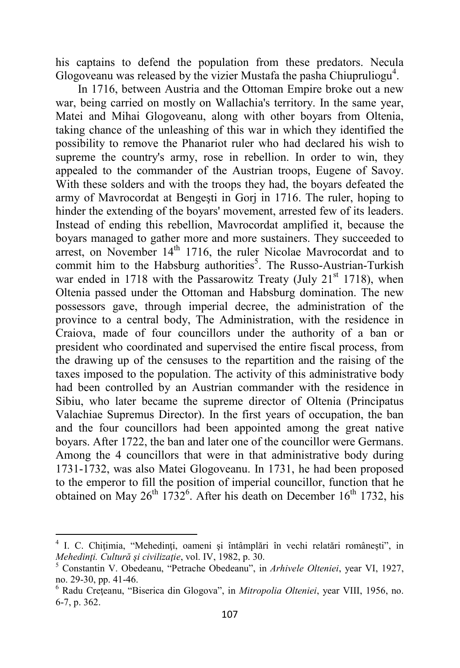his captains to defend the population from these predators. Necula Glogoveanu was released by the vizier Mustafa the pasha Chiupruliogu<sup>4</sup>.

In 1716, between Austria and the Ottoman Empire broke out a new war, being carried on mostly on Wallachia's territory. In the same year, Matei and Mihai Glogoveanu, along with other boyars from Oltenia, taking chance of the unleashing of this war in which they identified the possibility to remove the Phanariot ruler who had declared his wish to supreme the country's army, rose in rebellion. In order to win, they appealed to the commander of the Austrian troops, Eugene of Savoy. With these solders and with the troops they had, the boyars defeated the army of Mavrocordat at Bengeşti in Gorj in 1716. The ruler, hoping to hinder the extending of the boyars' movement, arrested few of its leaders. Instead of ending this rebellion, Mavrocordat amplified it, because the boyars managed to gather more and more sustainers. They succeeded to arrest, on November 14<sup>th</sup> 1716, the ruler Nicolae Mavrocordat and to commit him to the Habsburg authorities<sup>5</sup>. The Russo-Austrian-Turkish war ended in 1718 with the Passarowitz Treaty (July  $21<sup>st</sup> 1718$ ), when Oltenia passed under the Ottoman and Habsburg domination. The new possessors gave, through imperial decree, the administration of the province to a central body, The Administration, with the residence in Craiova, made of four councillors under the authority of a ban or president who coordinated and supervised the entire fiscal process, from the drawing up of the censuses to the repartition and the raising of the taxes imposed to the population. The activity of this administrative body had been controlled by an Austrian commander with the residence in Sibiu, who later became the supreme director of Oltenia (Principatus Valachiae Supremus Director). In the first years of occupation, the ban and the four councillors had been appointed among the great native boyars. After 1722, the ban and later one of the councillor were Germans. Among the 4 councillors that were in that administrative body during 1731-1732, was also Matei Glogoveanu. In 1731, he had been proposed to the emperor to fill the position of imperial councillor, function that he obtained on May  $26^{th}$  1732<sup>6</sup>. After his death on December 16<sup>th</sup> 1732, his

 $\overline{\phantom{0}}$ 

<sup>4</sup> I. C. Chiţimia, "Mehedinţi, oameni şi întâmplări în vechi relatări româneşti", in *Mehedinţi. Cultură şi civilizaţie*, vol. IV, 1982, p. 30.

<sup>5</sup> Constantin V. Obedeanu, "Petrache Obedeanu", in *Arhivele Olteniei*, year VI, 1927, no. 29-30, pp. 41-46.

<sup>6</sup> Radu Creţeanu, "Biserica din Glogova", in *Mitropolia Olteniei*, year VIII, 1956, no. 6-7, p. 362.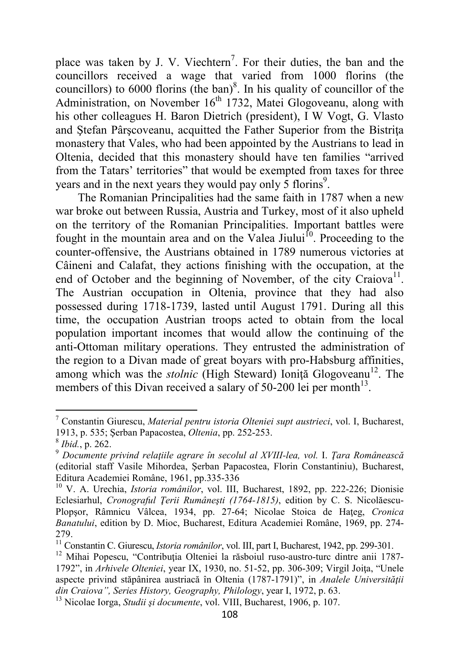place was taken by J. V. Viechtern<sup>7</sup>. For their duties, the ban and the councillors received a wage that varied from 1000 florins (the councillors) to 6000 florins (the ban)<sup>8</sup>. In his quality of councillor of the Administration, on November  $16<sup>th</sup>$  1732, Matei Glogoveanu, along with his other colleagues H. Baron Dietrich (president), I W Vogt, G. Vlasto and Stefan Pârscoveanu, acquitted the Father Superior from the Bistrita monastery that Vales, who had been appointed by the Austrians to lead in Oltenia, decided that this monastery should have ten families "arrived from the Tatars' territories" that would be exempted from taxes for three years and in the next years they would pay only  $\overline{5}$  florins<sup>9</sup>.

The Romanian Principalities had the same faith in 1787 when a new war broke out between Russia, Austria and Turkey, most of it also upheld on the territory of the Romanian Principalities. Important battles were fought in the mountain area and on the Valea Jiului<sup>10</sup>. Proceeding to the counter-offensive, the Austrians obtained in 1789 numerous victories at Câineni and Calafat, they actions finishing with the occupation, at the end of October and the beginning of November, of the city Craiova<sup>11</sup>. The Austrian occupation in Oltenia, province that they had also possessed during 1718-1739, lasted until August 1791. During all this time, the occupation Austrian troops acted to obtain from the local population important incomes that would allow the continuing of the anti-Ottoman military operations. They entrusted the administration of the region to a Divan made of great boyars with pro-Habsburg affinities, among which was the *stolnic* (High Steward) Ionită Glogoveanu<sup>12</sup>. The members of this Divan received a salary of  $50-200$  lei per month<sup>13</sup>.

<sup>7</sup> Constantin Giurescu, *Material pentru istoria Olteniei supt austrieci*, vol. I, Bucharest, 1913, p. 535; Şerban Papacostea, *Oltenia*, pp. 252-253.

<sup>8</sup>  *Ibid.*, p. 262.

<sup>9</sup> *Documente privind relaţiile agrare în secolul al XVIII-lea, vol.* I. *Ţara Românească* (editorial staff Vasile Mihordea, Şerban Papacostea, Florin Constantiniu), Bucharest, Editura Academiei Române, 1961, pp.335-336

<sup>10</sup> V. A. Urechia, *Istoria românilor*, vol. III, Bucharest, 1892, pp. 222-226; Dionisie Eclesiarhul, *Cronograful Ţerii Rumâneşti (1764-1815)*, edition by C. S. Nicolăescu-Plopşor, Râmnicu Vâlcea, 1934, pp. 27-64; Nicolae Stoica de Haţeg, *Cronica Banatului*, edition by D. Mioc, Bucharest, Editura Academiei Române, 1969, pp. 274- 279.

<sup>&</sup>lt;sup>11</sup> Constantin C. Giurescu, *Istoria românilor*, vol. III, part I, Bucharest, 1942, pp. 299-301.

 $12$  Mihai Popescu, "Contributia Olteniei la răsboiul ruso-austro-turc dintre anii 1787-1792", in *Arhivele Olteniei*, year IX, 1930, no. 51-52, pp. 306-309; Virgil Joiţa, "Unele aspecte privind stăpânirea austriacă în Oltenia (1787-1791)", in *Analele Universităţii din Craiova", Series History, Geography, Philology*, year I, 1972, p. 63.

<sup>13</sup> Nicolae Iorga, *Studii şi documente*, vol. VIII, Bucharest, 1906, p. 107.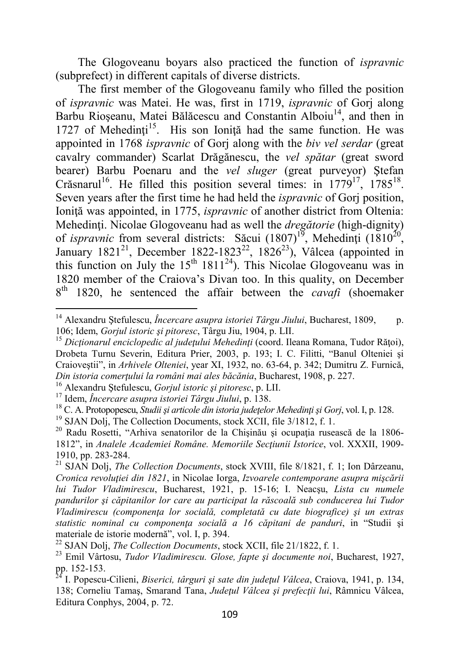The Glogoveanu boyars also practiced the function of *ispravnic* (subprefect) in different capitals of diverse districts.

The first member of the Glogoveanu family who filled the position of *ispravnic* was Matei. He was, first in 1719, *ispravnic* of Gorj along Barbu Rioșeanu, Matei Bălăcescu and Constantin Alboiu<sup>14</sup>, and then in 1727 of Mehedinti<sup>15</sup>. His son Ionită had the same function. He was appointed in 1768 *ispravnic* of Gorj along with the *biv vel serdar* (great cavalry commander) Scarlat Drăgănescu, the *vel spătar* (great sword bearer) Barbu Poenaru and the *vel sluger* (great purveyor) Ştefan Crăsnarul<sup>16</sup>. He filled this position several times: in  $1779^{17}$ ,  $1785^{18}$ . Seven years after the first time he had held the *ispravnic* of Gorj position, Ioniţă was appointed, in 1775, *ispravnic* of another district from Oltenia: Mehedinţi. Nicolae Glogoveanu had as well the *dregătorie* (high-dignity) of *ispravnic* from several districts: Săcui  $(1807)^{19}$ , Mehedinți  $(1810^{20})$ , January 1821<sup>21</sup>, December 1822-1823<sup>22</sup>, 1826<sup>23</sup>), Vâlcea (appointed in this function on July the  $15<sup>th</sup> 1811<sup>24</sup>$ ). This Nicolae Glogoveanu was in 1820 member of the Craiova's Divan too. In this quality, on December 8 th 1820, he sentenced the affair between the *cavafi* (shoemaker

<sup>16</sup> Alexandru Ştefulescu, *Gorjul istoric şi pitoresc*, p. LII.

<sup>14</sup> Alexandru Ştefulescu, *Încercare asupra istoriei Târgu Jiului*, Bucharest, 1809, p. 106; Idem, *Gorjul istoric şi pitoresc*, Târgu Jiu, 1904, p. LII.

<sup>&</sup>lt;sup>15</sup> Dicționarul enciclopedic al județului Mehedinți (coord. Ileana Romana, Tudor Rățoi), Drobeta Turnu Severin, Editura Prier, 2003, p. 193; I. C. Filitti, "Banul Olteniei şi Craioveştii", in *Arhivele Olteniei*, year XI, 1932, no. 63-64, p. 342; Dumitru Z. Furnică, *Din istoria comerţului la români mai ales băcănia*, Bucharest, 1908, p. 227.

<sup>17</sup> Idem, *Încercare asupra istoriei Târgu Jiului*, p. 138.

<sup>18</sup> C. A. Protopopescu, *Studii şi articole din istoria judeţelor Mehedinţi şi Gorj*, vol. I, p. 128.

<sup>&</sup>lt;sup>19</sup> SJAN Dolj, The Collection Documents, stock XCII, file 3/1812, f. 1.

<sup>&</sup>lt;sup>20</sup> Radu Rosetti, "Arhiva senatorilor de la Chișinău și ocupația rusească de la 1806-1812", in *Analele Academiei Române. Memoriile Secţiunii Istorice*, vol. XXXII, 1909- 1910, pp. 283-284.

<sup>21</sup> SJAN Dolj, *The Collection Documents*, stock XVIII, file 8/1821, f. 1; Ion Dârzeanu, *Cronica revoluţiei din 1821*, in Nicolae Iorga, *Izvoarele contemporane asupra mişcării lui Tudor Vladimirescu*, Bucharest, 1921, p. 15-16; I. Neacşu, *Lista cu numele pandurilor şi căpitanilor lor care au participat la răscoală sub conducerea lui Tudor Vladimirescu (componenţa lor socială, completată cu date biografice) şi un extras statistic nominal cu componenţa socială a 16 căpitani de panduri*, in "Studii şi materiale de istorie modernă", vol. I, p. 394.

<sup>22</sup> SJAN Dolj, *The Collection Documents*, stock XCII, file 21/1822, f. 1.

<sup>23</sup> Emil Vârtosu, *Tudor Vladimirescu. Glose, fapte şi documente noi*, Bucharest, 1927, pp. 152-153.

<sup>24</sup> I. Popescu-Cilieni, *Biserici, târguri şi sate din judeţul Vâlcea*, Craiova, 1941, p. 134, 138; Corneliu Tamaş, Smarand Tana, *Judeţul Vâlcea şi prefecţii lui*, Râmnicu Vâlcea, Editura Conphys, 2004, p. 72.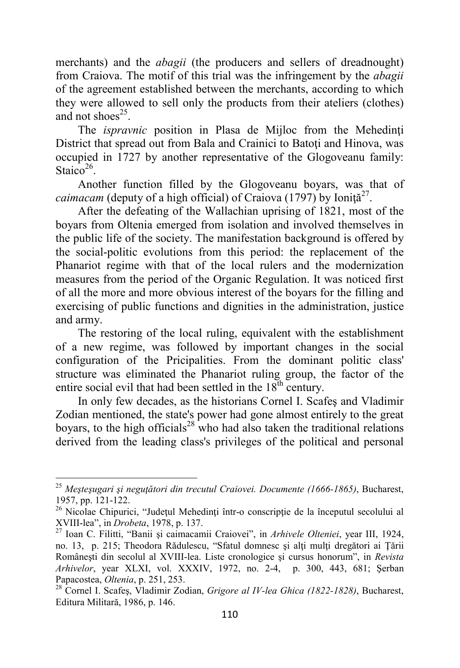merchants) and the *abagii* (the producers and sellers of dreadnought) from Craiova. The motif of this trial was the infringement by the *abagii* of the agreement established between the merchants, according to which they were allowed to sell only the products from their ateliers (clothes) and not shoes<sup>25</sup>.

The *ispravnic* position in Plasa de Mijloc from the Mehedinți District that spread out from Bala and Crainici to Batoti and Hinova, was occupied in 1727 by another representative of the Glogoveanu family: Staico<sup>26</sup>.

Another function filled by the Glogoveanu boyars, was that of caimacam (deputy of a high official) of Craiova (1797) by Ioniță<sup>27</sup>.

After the defeating of the Wallachian uprising of 1821, most of the boyars from Oltenia emerged from isolation and involved themselves in the public life of the society. The manifestation background is offered by the social-politic evolutions from this period: the replacement of the Phanariot regime with that of the local rulers and the modernization measures from the period of the Organic Regulation. It was noticed first of all the more and more obvious interest of the boyars for the filling and exercising of public functions and dignities in the administration, justice and army.

The restoring of the local ruling, equivalent with the establishment of a new regime, was followed by important changes in the social configuration of the Pricipalities. From the dominant politic class' structure was eliminated the Phanariot ruling group, the factor of the entire social evil that had been settled in the  $18<sup>th</sup>$  century.

In only few decades, as the historians Cornel I. Scafeş and Vladimir Zodian mentioned, the state's power had gone almost entirely to the great boyars, to the high officials<sup>28</sup> who had also taken the traditional relations derived from the leading class's privileges of the political and personal

<sup>&</sup>lt;sup>25</sup> Mestesugari și neguțători din trecutul Craiovei. Documente (1666-1865), Bucharest, 1957, pp. 121-122.

<sup>&</sup>lt;sup>26</sup> Nicolae Chipurici, "Județul Mehedinți într-o conscripție de la începutul secolului al XVIII-lea", in *Drobeta*, 1978, p. 137.

<sup>27</sup> Ioan C. Filitti, "Banii şi caimacamii Craiovei", in *Arhivele Olteniei*, year III, 1924, no. 13, p. 215; Theodora Rădulescu, "Sfatul domnesc şi alţi mulţi dregători ai Ţării Româneşti din secolul al XVIII-lea. Liste cronologice şi cursus honorum", in *Revista Arhivelor*, year XLXI, vol. XXXIV, 1972, no. 2-4, p. 300, 443, 681; Şerban Papacostea, *Oltenia*, p. 251, 253.

<sup>28</sup> Cornel I. Scafeş, Vladimir Zodian, *Grigore al IV-lea Ghica (1822-1828)*, Bucharest, Editura Militară, 1986, p. 146.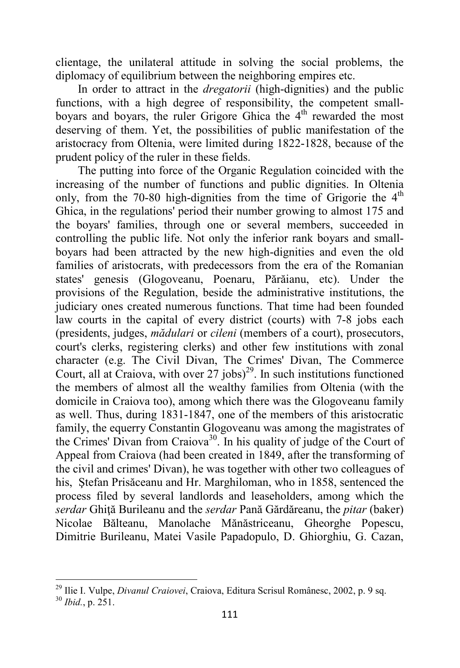clientage, the unilateral attitude in solving the social problems, the diplomacy of equilibrium between the neighboring empires etc.

In order to attract in the *dregatorii* (high-dignities) and the public functions, with a high degree of responsibility, the competent smallboyars and boyars, the ruler Grigore Ghica the 4<sup>th</sup> rewarded the most deserving of them. Yet, the possibilities of public manifestation of the aristocracy from Oltenia, were limited during 1822-1828, because of the prudent policy of the ruler in these fields.

The putting into force of the Organic Regulation coincided with the increasing of the number of functions and public dignities. In Oltenia only, from the 70-80 high-dignities from the time of Grigorie the  $4<sup>th</sup>$ Ghica, in the regulations' period their number growing to almost 175 and the boyars' families, through one or several members, succeeded in controlling the public life. Not only the inferior rank boyars and smallboyars had been attracted by the new high-dignities and even the old families of aristocrats, with predecessors from the era of the Romanian states' genesis (Glogoveanu, Poenaru, Părăianu, etc). Under the provisions of the Regulation, beside the administrative institutions, the judiciary ones created numerous functions. That time had been founded law courts in the capital of every district (courts) with 7-8 jobs each (presidents, judges, *mădulari* or *cileni* (members of a court), prosecutors, court's clerks, registering clerks) and other few institutions with zonal character (e.g. The Civil Divan, The Crimes' Divan, The Commerce Court, all at Craiova, with over  $27$  jobs)<sup>29</sup>. In such institutions functioned the members of almost all the wealthy families from Oltenia (with the domicile in Craiova too), among which there was the Glogoveanu family as well. Thus, during 1831-1847, one of the members of this aristocratic family, the equerry Constantin Glogoveanu was among the magistrates of the Crimes' Divan from Craiova<sup>30</sup>. In his quality of judge of the Court of Appeal from Craiova (had been created in 1849, after the transforming of the civil and crimes' Divan), he was together with other two colleagues of his, Ştefan Prisăceanu and Hr. Marghiloman, who in 1858, sentenced the process filed by several landlords and leaseholders, among which the *serdar* Ghiţă Burileanu and the *serdar* Pană Gărdăreanu, the *pitar* (baker) Nicolae Bălteanu, Manolache Mănăstriceanu, Gheorghe Popescu, Dimitrie Burileanu, Matei Vasile Papadopulo, D. Ghiorghiu, G. Cazan,

<sup>29</sup> Ilie I. Vulpe, *Divanul Craiovei*, Craiova, Editura Scrisul Românesc, 2002, p. 9 sq. <sup>30</sup> *Ibid.*, p. 251.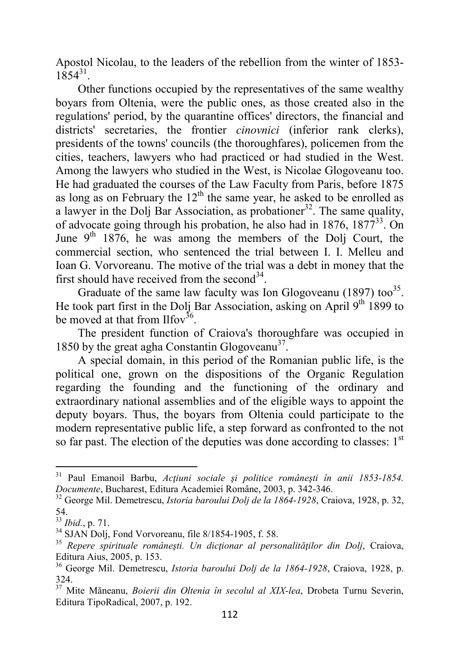Apostol Nicolau, to the leaders of the rebellion from the winter of 1853-  $1854^{31}$ .

Other functions occupied by the representatives of the same wealthy boyars from Oltenia, were the public ones, as those created also in the regulations' period, by the quarantine offices' directors, the financial and districts' secretaries, the frontier *cinovnici* (inferior rank clerks), presidents of the towns' councils (the thoroughfares), policemen from the cities, teachers, lawyers who had practiced or had studied in the West. Among the lawyers who studied in the West, is Nicolae Glogoveanu too. He had graduated the courses of the Law Faculty from Paris, before 1875 as long as on February the  $12<sup>th</sup>$  the same year, he asked to be enrolled as a lawyer in the Dolj Bar Association, as probationer<sup>32</sup>. The same quality, of advocate going through his probation, he also had in  $1876$ ,  $1877^{33}$ . On June  $9<sup>th</sup>$  1876, he was among the members of the Dolj Court, the commercial section, who sentenced the trial between I. I. Melleu and Ioan G. Vorvoreanu. The motive of the trial was a debt in money that the first should have received from the second<sup>34</sup>.

Graduate of the same law faculty was Ion Glogoveanu (1897) too<sup>35</sup>. He took part first in the Dolj Bar Association, asking on April  $9<sup>th</sup>$  1899 to be moved at that from Ilfov<sup>36</sup>.

The president function of Craiova's thoroughfare was occupied in 1850 by the great agha Constantin Glogoveanu<sup>37</sup>.

A special domain, in this period of the Romanian public life, is the political one, grown on the dispositions of the Organic Regulation regarding the founding and the functioning of the ordinary and extraordinary national assemblies and of the eligible ways to appoint the deputy boyars. Thus, the boyars from Oltenia could participate to the modern representative public life, a step forward as confronted to the not so far past. The election of the deputies was done according to classes:  $1<sup>st</sup>$ 

<sup>31</sup> Paul Emanoil Barbu, *Acţiuni sociale şi politice româneşti în anii 1853-1854. Documente*, Bucharest, Editura Academiei Române, 2003, p. 342-346.

<sup>32</sup> George Mil. Demetrescu, *Istoria baroului Dolj de la 1864-1928*, Craiova, 1928, p. 32, 54.

<sup>33</sup> *Ibid.*, p. 71.

<sup>34</sup> SJAN Dolj, Fond Vorvoreanu, file 8/1854-1905, f. 58.

<sup>35</sup> *Repere spirituale româneşti. Un dicţionar al personalităţilor din Dolj*, Craiova, Editura Aius, 2005, p. 153.

<sup>36</sup> George Mil. Demetrescu, *Istoria baroului Dolj de la 1864-1928*, Craiova, 1928, p. 324.

<sup>37</sup> Mite Măneanu, *Boierii din Oltenia în secolul al XIX-lea*, Drobeta Turnu Severin, Editura TipoRadical, 2007, p. 192.